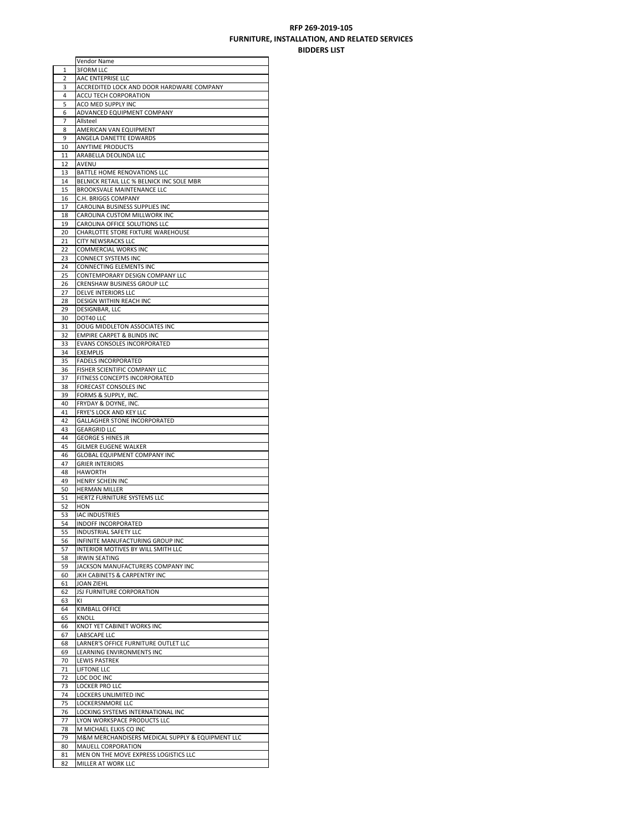## **RFP 269‐2019‐105 FURNITURE, INSTALLATION, AND RELATED SERVICES BIDDERS LIST**

|    | Vendor Name                                      |
|----|--------------------------------------------------|
| 1  | <b>3FORM LLC</b>                                 |
| 2  | AAC ENTEPRISE LLC                                |
| 3  | ACCREDITED LOCK AND DOOR HARDWARE COMPANY        |
| 4  | ACCU TECH CORPORATION                            |
| 5  | ACO MED SUPPLY INC                               |
| 6  | ADVANCED EQUIPMENT COMPANY                       |
| 7  | Allsteel                                         |
| 8  | AMERICAN VAN EQUIPMENT                           |
| 9  | ANGELA DANETTE EDWARDS                           |
| 10 | <b>ANYTIME PRODUCTS</b>                          |
| 11 | ARABELLA DEOLINDA LLC                            |
| 12 | AVENU                                            |
| 13 | BATTLE HOME RENOVATIONS LLC                      |
| 14 | BELNICK RETAIL LLC % BELNICK INC SOLE MBR        |
| 15 | BROOKSVALE MAINTENANCE LLC                       |
| 16 | C.H. BRIGGS COMPANY                              |
| 17 | CAROLINA BUSINESS SUPPLIES INC                   |
| 18 | CAROLINA CUSTOM MILLWORK INC                     |
| 19 | CAROLINA OFFICE SOLUTIONS LLC                    |
| 20 | CHARLOTTE STORE FIXTURE WAREHOUSE                |
|    |                                                  |
| 21 | <b>CITY NEWSRACKS LLC</b>                        |
| 22 | COMMERCIAL WORKS INC                             |
| 23 | CONNECT SYSTEMS INC                              |
| 24 | CONNECTING ELEMENTS INC                          |
| 25 | CONTEMPORARY DESIGN COMPANY LLC                  |
| 26 | CRENSHAW BUSINESS GROUP LLC                      |
| 27 | <b>DELVE INTERIORS LLC</b>                       |
| 28 | DESIGN WITHIN REACH INC                          |
| 29 | DESIGNBAR, LLC                                   |
| 30 | DOT40 LLC                                        |
| 31 | DOUG MIDDLETON ASSOCIATES INC                    |
| 32 | EMPIRE CARPET & BLINDS INC                       |
| 33 | EVANS CONSOLES INCORPORATED                      |
| 34 | <b>EXEMPLIS</b>                                  |
| 35 | <b>FADELS INCORPORATED</b>                       |
| 36 | FISHER SCIENTIFIC COMPANY LLC                    |
| 37 | FITNESS CONCEPTS INCORPORATED                    |
| 38 | FORECAST CONSOLES INC                            |
| 39 | FORMS & SUPPLY, INC.                             |
| 40 | FRYDAY & DOYNE, INC.                             |
| 41 | FRYE'S LOCK AND KEY LLC                          |
| 42 | <b>GALLAGHER STONE INCORPORATED</b>              |
| 43 | <b>GEARGRID LLC</b>                              |
| 44 | <b>GEORGE S HINES JR</b>                         |
| 45 | GILMER EUGENE WALKER                             |
| 46 | GLOBAL EQUIPMENT COMPANY INC                     |
| 47 | <b>GRIER INTERIORS</b>                           |
| 48 |                                                  |
|    |                                                  |
|    | <b>HAWORTH</b>                                   |
| 49 | HENRY SCHEIN INC                                 |
| 50 | <b>HERMAN MILLER</b>                             |
| 51 | HERTZ FURNITURE SYSTEMS LLC                      |
| 52 | <b>HON</b>                                       |
| 53 | <b>IAC INDUSTRIES</b>                            |
| 54 | INDOFF INCORPORATED                              |
| 55 | INDUSTRIAL SAFETY LLC                            |
| 56 | INFINITE MANUFACTURING GROUP INC                 |
| 57 | INTERIOR MOTIVES BY WILL SMITH LLC               |
| 58 | <b>IRWIN SEATING</b>                             |
| 59 | JACKSON MANUFACTURERS COMPANY INC                |
| 60 | JKH CABINETS & CARPENTRY INC                     |
| 61 | <b>JOAN ZIEHL</b>                                |
| 62 | <b>JSJ FURNITURE CORPORATION</b>                 |
| 63 | KI                                               |
| 64 | KIMBALL OFFICE                                   |
| 65 | KNOLL                                            |
| 66 | KNOT YET CABINET WORKS INC                       |
| 67 | LABSCAPE LLC                                     |
| 68 | LARNER'S OFFICE FURNITURE OUTLET LLC             |
| 69 | LEARNING ENVIRONMENTS INC                        |
| 70 | <b>LEWIS PASTREK</b>                             |
| 71 | <b>LIFTONE LLC</b>                               |
| 72 | LOC DOC INC                                      |
| 73 | LOCKER PRO LLC                                   |
| 74 | LOCKERS UNLIMITED INC                            |
| 75 | LOCKERSNMORE LLC                                 |
| 76 | LOCKING SYSTEMS INTERNATIONAL INC                |
| 77 | LYON WORKSPACE PRODUCTS LLC                      |
| 78 | M MICHAEL ELKIS CO INC                           |
| 79 | M&M MERCHANDISERS MEDICAL SUPPLY & EQUIPMENT LLC |
| 80 | MAUELL CORPORATION                               |
| 81 | MEN ON THE MOVE EXPRESS LOGISTICS LLC            |